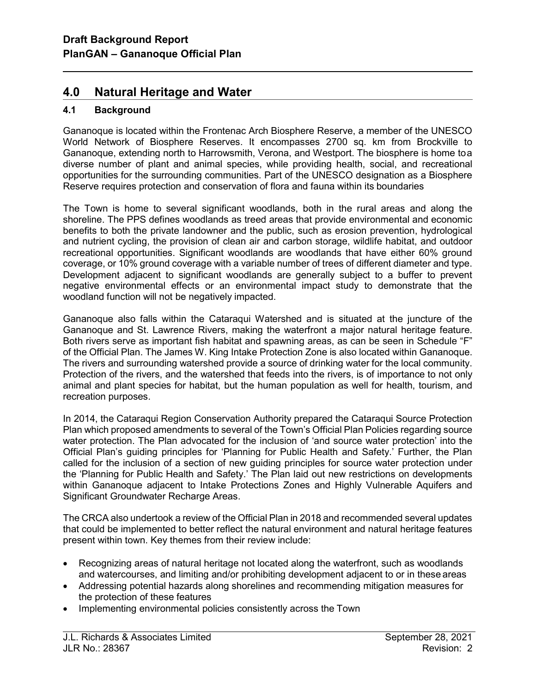# 4.0 Natural Heritage and Water

## 4.1 Background

l

Gananoque is located within the Frontenac Arch Biosphere Reserve, a member of the UNESCO World Network of Biosphere Reserves. It encompasses 2700 sq. km from Brockville to Gananoque, extending north to Harrowsmith, Verona, and Westport. The biosphere is home to a diverse number of plant and animal species, while providing health, social, and recreational opportunities for the surrounding communities. Part of the UNESCO designation as a Biosphere Reserve requires protection and conservation of flora and fauna within its boundaries

The Town is home to several significant woodlands, both in the rural areas and along the shoreline. The PPS defines woodlands as treed areas that provide environmental and economic benefits to both the private landowner and the public, such as erosion prevention, hydrological and nutrient cycling, the provision of clean air and carbon storage, wildlife habitat, and outdoor recreational opportunities. Significant woodlands are woodlands that have either 60% ground coverage, or 10% ground coverage with a variable number of trees of different diameter and type. Development adjacent to significant woodlands are generally subject to a buffer to prevent negative environmental effects or an environmental impact study to demonstrate that the woodland function will not be negatively impacted.

Gananoque also falls within the Cataraqui Watershed and is situated at the juncture of the Gananoque and St. Lawrence Rivers, making the waterfront a major natural heritage feature. Both rivers serve as important fish habitat and spawning areas, as can be seen in Schedule "F" of the Official Plan. The James W. King Intake Protection Zone is also located within Gananoque. The rivers and surrounding watershed provide a source of drinking water for the local community. Protection of the rivers, and the watershed that feeds into the rivers, is of importance to not only animal and plant species for habitat, but the human population as well for health, tourism, and recreation purposes.

In 2014, the Cataraqui Region Conservation Authority prepared the Cataraqui Source Protection Plan which proposed amendments to several of the Town's Official Plan Policies regarding source water protection. The Plan advocated for the inclusion of 'and source water protection' into the Official Plan's guiding principles for 'Planning for Public Health and Safety.' Further, the Plan called for the inclusion of a section of new guiding principles for source water protection under the 'Planning for Public Health and Safety.' The Plan laid out new restrictions on developments within Gananoque adjacent to Intake Protections Zones and Highly Vulnerable Aquifers and Significant Groundwater Recharge Areas.

The CRCA also undertook a review of the Official Plan in 2018 and recommended several updates that could be implemented to better reflect the natural environment and natural heritage features present within town. Key themes from their review include:

- Recognizing areas of natural heritage not located along the waterfront, such as woodlands and watercourses, and limiting and/or prohibiting development adjacent to or in these areas
- Addressing potential hazards along shorelines and recommending mitigation measures for the protection of these features
- Implementing environmental policies consistently across the Town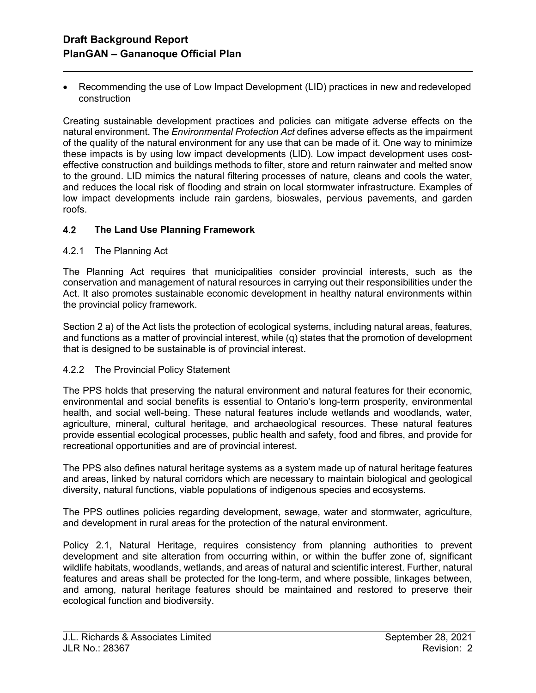• Recommending the use of Low Impact Development (LID) practices in new and redeveloped construction

Creating sustainable development practices and policies can mitigate adverse effects on the natural environment. The Environmental Protection Act defines adverse effects as the impairment of the quality of the natural environment for any use that can be made of it. One way to minimize these impacts is by using low impact developments (LID). Low impact development uses costeffective construction and buildings methods to filter, store and return rainwater and melted snow to the ground. LID mimics the natural filtering processes of nature, cleans and cools the water, and reduces the local risk of flooding and strain on local stormwater infrastructure. Examples of low impact developments include rain gardens, bioswales, pervious pavements, and garden roofs.

## 4.2 The Land Use Planning Framework

#### 4.2.1 The Planning Act

l

The Planning Act requires that municipalities consider provincial interests, such as the conservation and management of natural resources in carrying out their responsibilities under the Act. It also promotes sustainable economic development in healthy natural environments within the provincial policy framework.

Section 2 a) of the Act lists the protection of ecological systems, including natural areas, features, and functions as a matter of provincial interest, while (q) states that the promotion of development that is designed to be sustainable is of provincial interest.

#### 4.2.2 The Provincial Policy Statement

The PPS holds that preserving the natural environment and natural features for their economic, environmental and social benefits is essential to Ontario's long-term prosperity, environmental health, and social well-being. These natural features include wetlands and woodlands, water, agriculture, mineral, cultural heritage, and archaeological resources. These natural features provide essential ecological processes, public health and safety, food and fibres, and provide for recreational opportunities and are of provincial interest.

The PPS also defines natural heritage systems as a system made up of natural heritage features and areas, linked by natural corridors which are necessary to maintain biological and geological diversity, natural functions, viable populations of indigenous species and ecosystems.

The PPS outlines policies regarding development, sewage, water and stormwater, agriculture, and development in rural areas for the protection of the natural environment.

Policy 2.1, Natural Heritage, requires consistency from planning authorities to prevent development and site alteration from occurring within, or within the buffer zone of, significant wildlife habitats, woodlands, wetlands, and areas of natural and scientific interest. Further, natural features and areas shall be protected for the long-term, and where possible, linkages between, and among, natural heritage features should be maintained and restored to preserve their ecological function and biodiversity.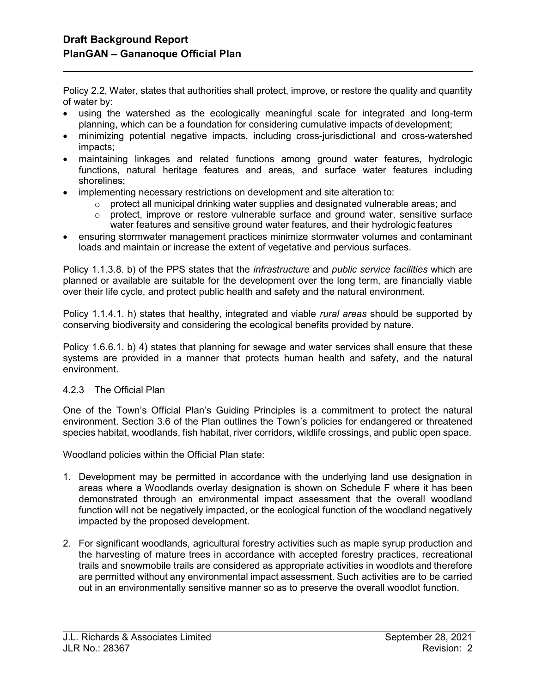l

Policy 2.2, Water, states that authorities shall protect, improve, or restore the quality and quantity of water by:

- using the watershed as the ecologically meaningful scale for integrated and long-term planning, which can be a foundation for considering cumulative impacts of development;
- minimizing potential negative impacts, including cross-jurisdictional and cross-watershed impacts;
- maintaining linkages and related functions among ground water features, hydrologic functions, natural heritage features and areas, and surface water features including shorelines;
- implementing necessary restrictions on development and site alteration to:
	- $\circ$  protect all municipal drinking water supplies and designated vulnerable areas; and
	- o protect, improve or restore vulnerable surface and ground water, sensitive surface water features and sensitive ground water features, and their hydrologic features
- ensuring stormwater management practices minimize stormwater volumes and contaminant loads and maintain or increase the extent of vegetative and pervious surfaces.

Policy 1.1.3.8. b) of the PPS states that the *infrastructure* and *public service facilities* which are planned or available are suitable for the development over the long term, are financially viable over their life cycle, and protect public health and safety and the natural environment.

Policy 1.1.4.1. h) states that healthy, integrated and viable *rural areas* should be supported by conserving biodiversity and considering the ecological benefits provided by nature.

Policy 1.6.6.1. b) 4) states that planning for sewage and water services shall ensure that these systems are provided in a manner that protects human health and safety, and the natural environment.

### 4.2.3 The Official Plan

One of the Town's Official Plan's Guiding Principles is a commitment to protect the natural environment. Section 3.6 of the Plan outlines the Town's policies for endangered or threatened species habitat, woodlands, fish habitat, river corridors, wildlife crossings, and public open space.

Woodland policies within the Official Plan state:

- 1. Development may be permitted in accordance with the underlying land use designation in areas where a Woodlands overlay designation is shown on Schedule F where it has been demonstrated through an environmental impact assessment that the overall woodland function will not be negatively impacted, or the ecological function of the woodland negatively impacted by the proposed development.
- 2. For significant woodlands, agricultural forestry activities such as maple syrup production and the harvesting of mature trees in accordance with accepted forestry practices, recreational trails and snowmobile trails are considered as appropriate activities in woodlots and therefore are permitted without any environmental impact assessment. Such activities are to be carried out in an environmentally sensitive manner so as to preserve the overall woodlot function.